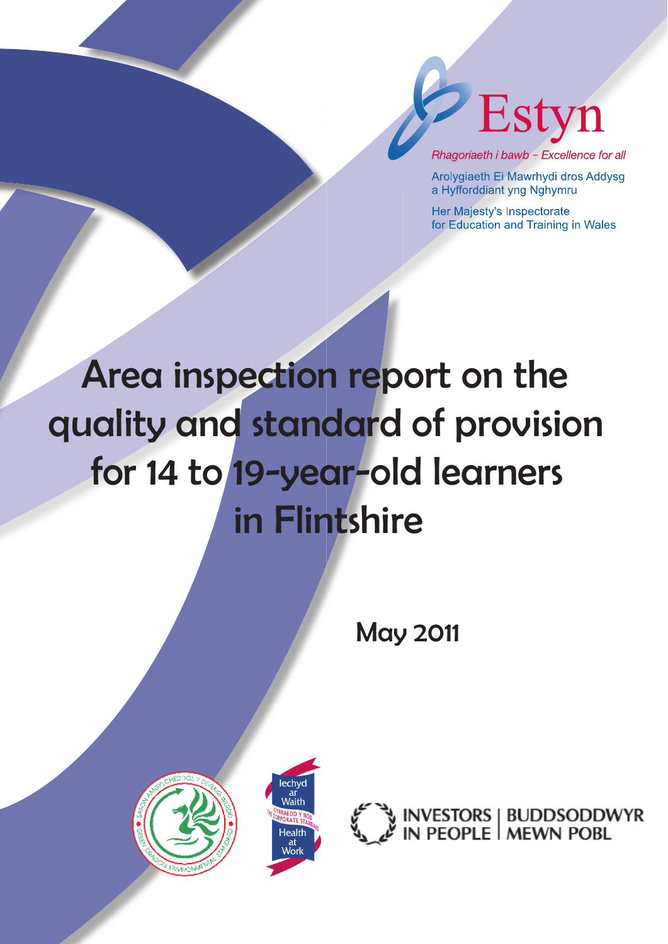

Rhagoriaeth i bawb - Excellence for all

Arolygiaeth Ei Mawrhydi dros Addysg a Hyfforddiant yng Nghymru

Her Majesty's Inspectorate for Education and Training in Wales

# Area inspection report on the quality and standard of provision for 14 to 19-year-old learners in Flintshire

May 2011





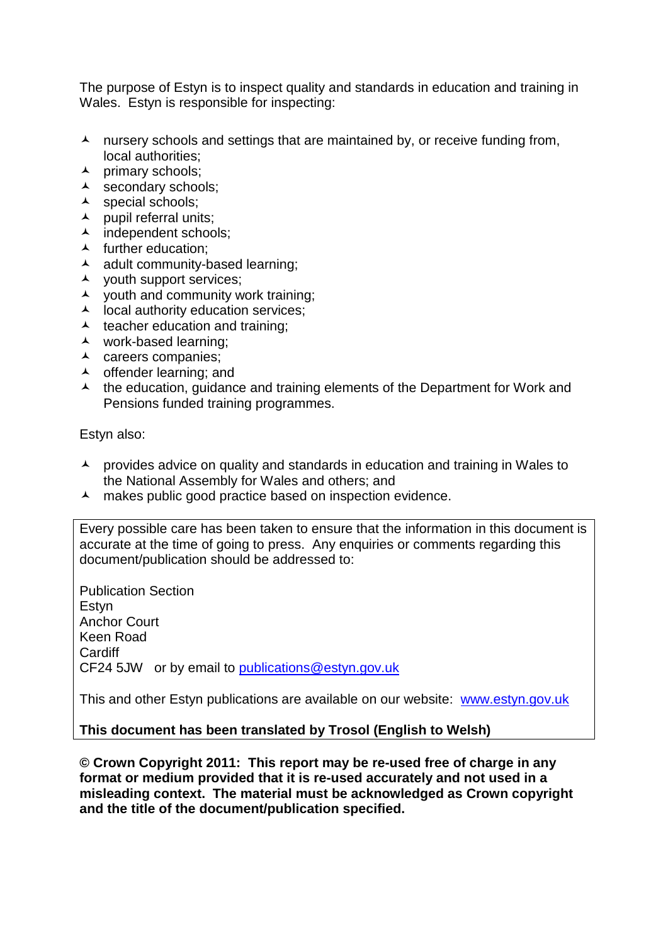The purpose of Estyn is to inspect quality and standards in education and training in Wales. Estyn is responsible for inspecting:

- $\lambda$  nursery schools and settings that are maintained by, or receive funding from, local authorities;
- $\lambda$  primary schools:
- A secondary schools;
- A special schools;
- $\blacktriangle$  pupil referral units;
- $\overline{\phantom{a}}$  independent schools;
- $\blacktriangle$  further education;
- $\lambda$  adult community-based learning;
- $\lambda$  youth support services;
- $\lambda$  vouth and community work training;
- $\lambda$  local authority education services;
- $\lambda$  teacher education and training;
- work-based learning;
- $\lambda$  careers companies;
- $\lambda$  offender learning; and
- $\lambda$  the education, guidance and training elements of the Department for Work and Pensions funded training programmes.

Estyn also:

- $\lambda$  provides advice on quality and standards in education and training in Wales to the National Assembly for Wales and others; and
- A makes public good practice based on inspection evidence.

Every possible care has been taken to ensure that the information in this document is accurate at the time of going to press. Any enquiries or comments regarding this document/publication should be addressed to:

Publication Section Estyn Anchor Court Keen Road **Cardiff** CF24 5JW or by email to [publications@estyn.gov.uk](mailto:publications@estyn.gov.uk)

This and other Estyn publications are available on our website: [www.estyn.gov.uk](http://www.estyn.gov.uk/)

**This document has been translated by Trosol (English to Welsh)**

**© Crown Copyright 2011: This report may be re-used free of charge in any format or medium provided that it is re-used accurately and not used in a misleading context. The material must be acknowledged as Crown copyright and the title of the document/publication specified.**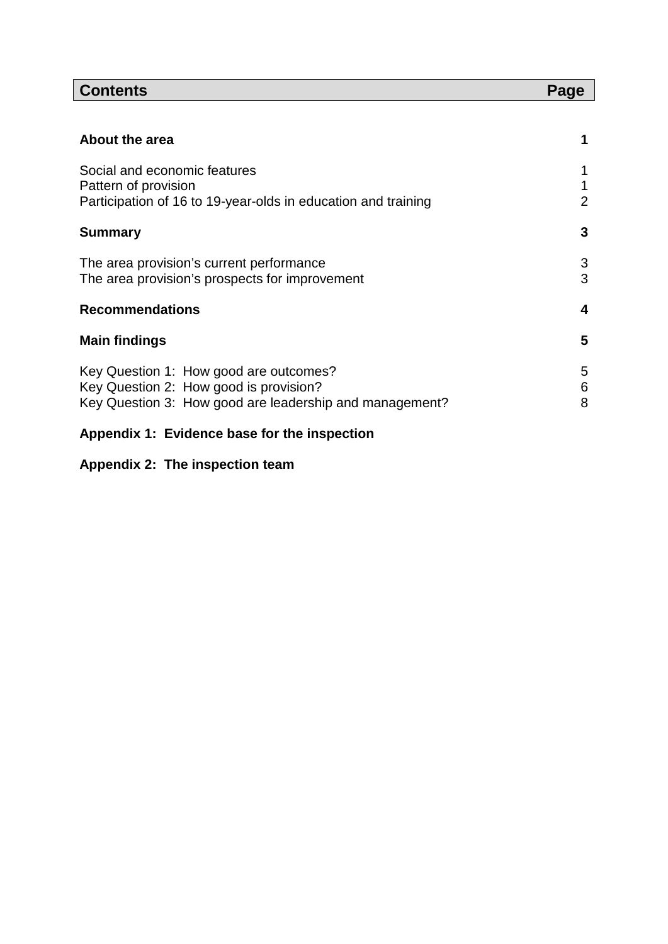# **Contents** Page

| About the area                                                                                                                              | 1                   |
|---------------------------------------------------------------------------------------------------------------------------------------------|---------------------|
| Social and economic features<br>Pattern of provision<br>Participation of 16 to 19-year-olds in education and training                       | 1<br>$\overline{2}$ |
| <b>Summary</b>                                                                                                                              | 3                   |
| The area provision's current performance<br>The area provision's prospects for improvement                                                  | 3<br>3              |
| <b>Recommendations</b>                                                                                                                      | $\overline{4}$      |
| <b>Main findings</b>                                                                                                                        | 5                   |
| Key Question 1: How good are outcomes?<br>Key Question 2: How good is provision?<br>Key Question 3: How good are leadership and management? | 5<br>6<br>8         |
| Appendix 1: Evidence base for the inspection                                                                                                |                     |

# **Appendix 2: The inspection team**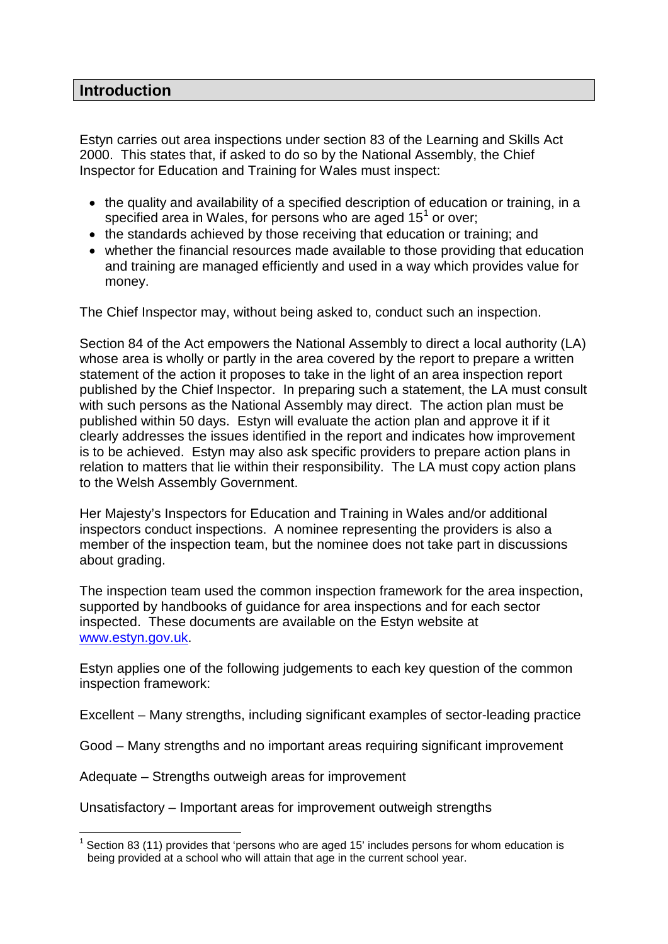#### **Introduction**

Estyn carries out area inspections under section 83 of the Learning and Skills Act 2000. This states that, if asked to do so by the National Assembly, the Chief Inspector for Education and Training for Wales must inspect:

- the quality and availability of a specified description of education or training, in a specified area in Wales, for persons who are aged [1](#page-3-0)5<sup>1</sup> or over;
- the standards achieved by those receiving that education or training; and
- whether the financial resources made available to those providing that education and training are managed efficiently and used in a way which provides value for money.

The Chief Inspector may, without being asked to, conduct such an inspection.

Section 84 of the Act empowers the National Assembly to direct a local authority (LA) whose area is wholly or partly in the area covered by the report to prepare a written statement of the action it proposes to take in the light of an area inspection report published by the Chief Inspector. In preparing such a statement, the LA must consult with such persons as the National Assembly may direct. The action plan must be published within 50 days. Estyn will evaluate the action plan and approve it if it clearly addresses the issues identified in the report and indicates how improvement is to be achieved. Estyn may also ask specific providers to prepare action plans in relation to matters that lie within their responsibility. The LA must copy action plans to the Welsh Assembly Government.

Her Majesty's Inspectors for Education and Training in Wales and/or additional inspectors conduct inspections. A nominee representing the providers is also a member of the inspection team, but the nominee does not take part in discussions about grading.

The inspection team used the common inspection framework for the area inspection, supported by handbooks of guidance for area inspections and for each sector inspected. These documents are available on the Estyn website at [www.estyn.gov.uk.](http://www.estyn.gov.uk/)

Estyn applies one of the following judgements to each key question of the common inspection framework:

Excellent – Many strengths, including significant examples of sector-leading practice

Good – Many strengths and no important areas requiring significant improvement

Adequate – Strengths outweigh areas for improvement

Unsatisfactory – Important areas for improvement outweigh strengths

<span id="page-3-0"></span> $1$  Section 83 (11) provides that 'persons who are aged 15' includes persons for whom education is being provided at a school who will attain that age in the current school year.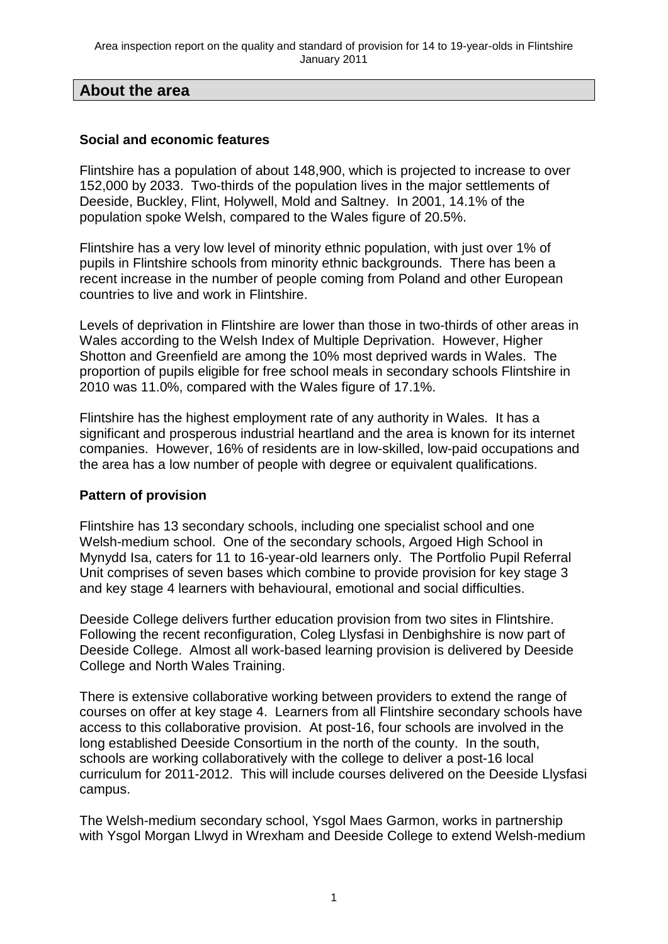#### **About the area**

#### **Social and economic features**

Flintshire has a population of about 148,900, which is projected to increase to over 152,000 by 2033. Two-thirds of the population lives in the major settlements of Deeside, Buckley, Flint, Holywell, Mold and Saltney. In 2001, 14.1% of the population spoke Welsh, compared to the Wales figure of 20.5%.

Flintshire has a very low level of minority ethnic population, with just over 1% of pupils in Flintshire schools from minority ethnic backgrounds. There has been a recent increase in the number of people coming from Poland and other European countries to live and work in Flintshire.

Levels of deprivation in Flintshire are lower than those in two-thirds of other areas in Wales according to the Welsh Index of Multiple Deprivation. However, Higher Shotton and Greenfield are among the 10% most deprived wards in Wales. The proportion of pupils eligible for free school meals in secondary schools Flintshire in 2010 was 11.0%, compared with the Wales figure of 17.1%.

Flintshire has the highest employment rate of any authority in Wales. It has a significant and prosperous industrial heartland and the area is known for its internet companies. However, 16% of residents are in low-skilled, low-paid occupations and the area has a low number of people with degree or equivalent qualifications.

#### **Pattern of provision**

Flintshire has 13 secondary schools, including one specialist school and one Welsh-medium school. One of the secondary schools, Argoed High School in Mynydd Isa, caters for 11 to 16-year-old learners only. The Portfolio Pupil Referral Unit comprises of seven bases which combine to provide provision for key stage 3 and key stage 4 learners with behavioural, emotional and social difficulties.

Deeside College delivers further education provision from two sites in Flintshire. Following the recent reconfiguration, Coleg Llysfasi in Denbighshire is now part of Deeside College. Almost all work-based learning provision is delivered by Deeside College and North Wales Training.

There is extensive collaborative working between providers to extend the range of courses on offer at key stage 4. Learners from all Flintshire secondary schools have access to this collaborative provision. At post-16, four schools are involved in the long established Deeside Consortium in the north of the county. In the south, schools are working collaboratively with the college to deliver a post-16 local curriculum for 2011-2012. This will include courses delivered on the Deeside Llysfasi campus.

The Welsh-medium secondary school, Ysgol Maes Garmon, works in partnership with Ysgol Morgan Llwyd in Wrexham and Deeside College to extend Welsh-medium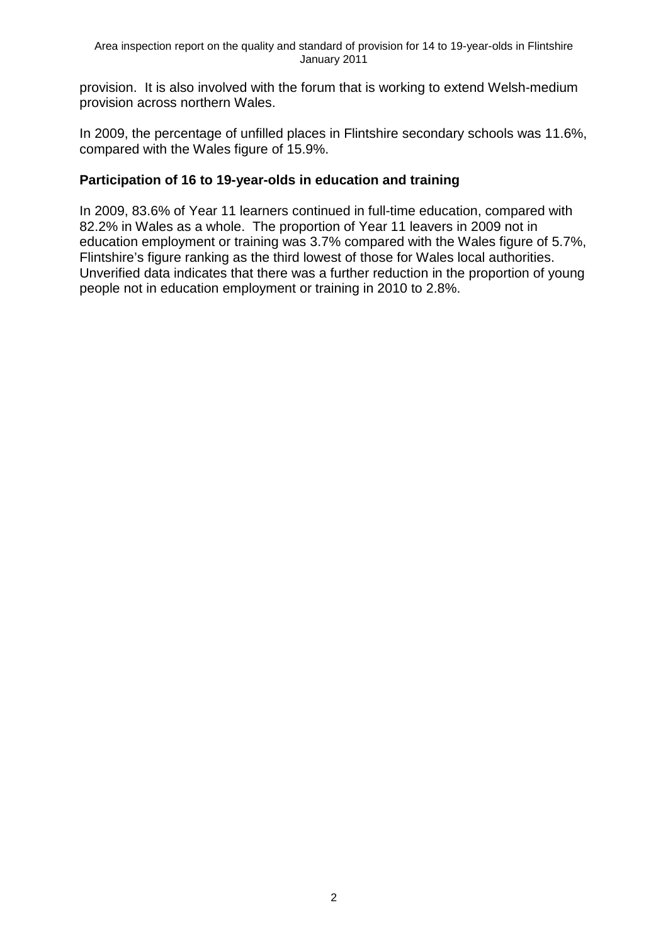provision. It is also involved with the forum that is working to extend Welsh-medium provision across northern Wales.

In 2009, the percentage of unfilled places in Flintshire secondary schools was 11.6%, compared with the Wales figure of 15.9%.

#### **Participation of 16 to 19-year-olds in education and training**

In 2009, 83.6% of Year 11 learners continued in full-time education, compared with 82.2% in Wales as a whole. The proportion of Year 11 leavers in 2009 not in education employment or training was 3.7% compared with the Wales figure of 5.7%, Flintshire's figure ranking as the third lowest of those for Wales local authorities. Unverified data indicates that there was a further reduction in the proportion of young people not in education employment or training in 2010 to 2.8%.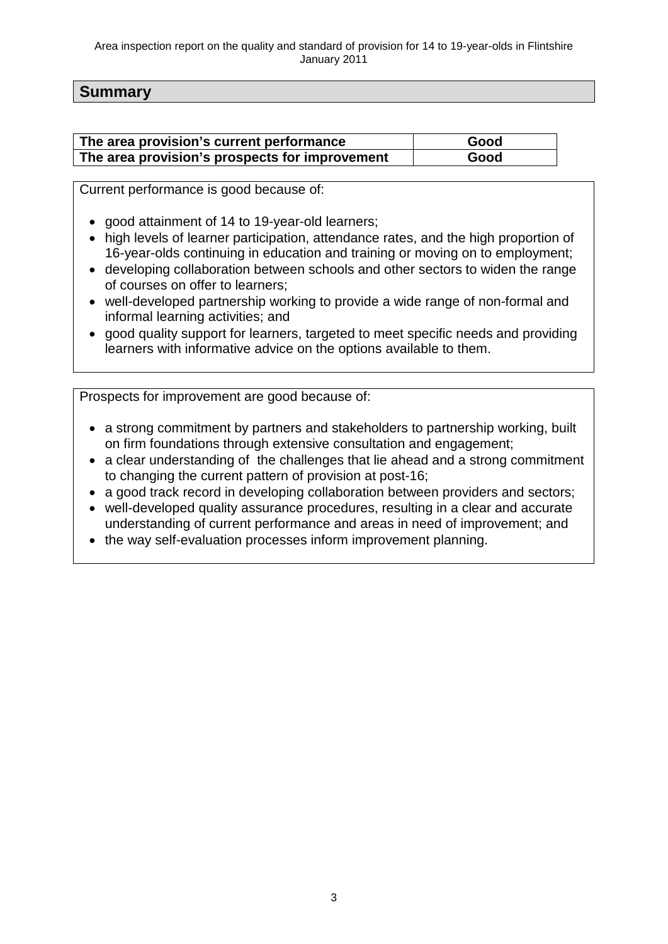#### **Summary**

| The area provision's current performance       | Good |
|------------------------------------------------|------|
| The area provision's prospects for improvement | Good |

Current performance is good because of:

- good attainment of 14 to 19-year-old learners;
- high levels of learner participation, attendance rates, and the high proportion of 16-year-olds continuing in education and training or moving on to employment;
- developing collaboration between schools and other sectors to widen the range of courses on offer to learners;
- well-developed partnership working to provide a wide range of non-formal and informal learning activities; and
- good quality support for learners, targeted to meet specific needs and providing learners with informative advice on the options available to them.

Prospects for improvement are good because of:

- a strong commitment by partners and stakeholders to partnership working, built on firm foundations through extensive consultation and engagement;
- a clear understanding of the challenges that lie ahead and a strong commitment to changing the current pattern of provision at post-16;
- a good track record in developing collaboration between providers and sectors;
- well-developed quality assurance procedures, resulting in a clear and accurate understanding of current performance and areas in need of improvement; and
- the way self-evaluation processes inform improvement planning.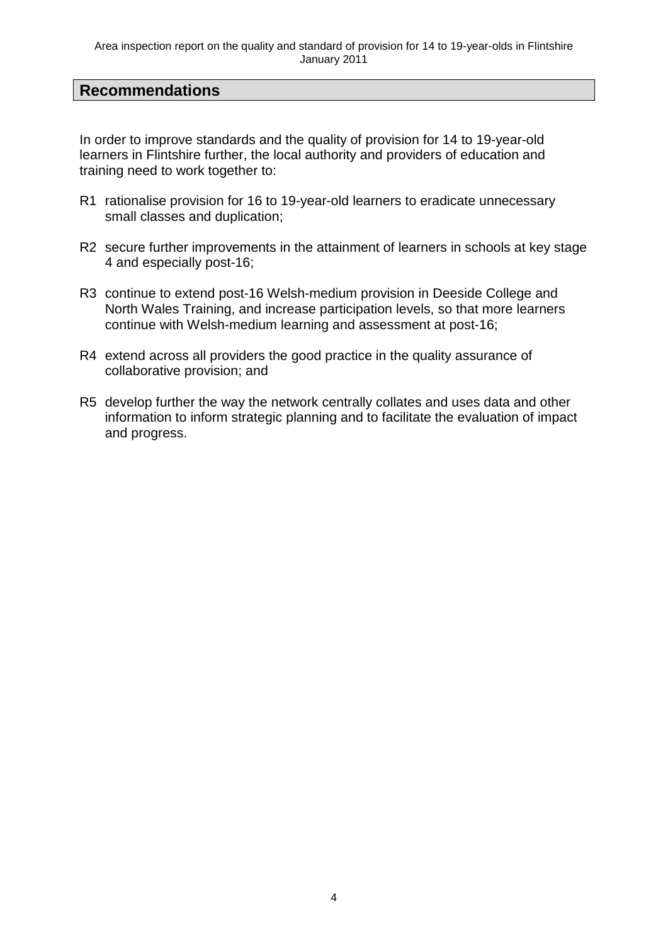#### **Recommendations**

In order to improve standards and the quality of provision for 14 to 19-year-old learners in Flintshire further, the local authority and providers of education and training need to work together to:

- R1 rationalise provision for 16 to 19-year-old learners to eradicate unnecessary small classes and duplication;
- R2 secure further improvements in the attainment of learners in schools at key stage 4 and especially post-16;
- R3 continue to extend post-16 Welsh-medium provision in Deeside College and North Wales Training, and increase participation levels, so that more learners continue with Welsh-medium learning and assessment at post-16;
- R4 extend across all providers the good practice in the quality assurance of collaborative provision; and
- R5 develop further the way the network centrally collates and uses data and other information to inform strategic planning and to facilitate the evaluation of impact and progress.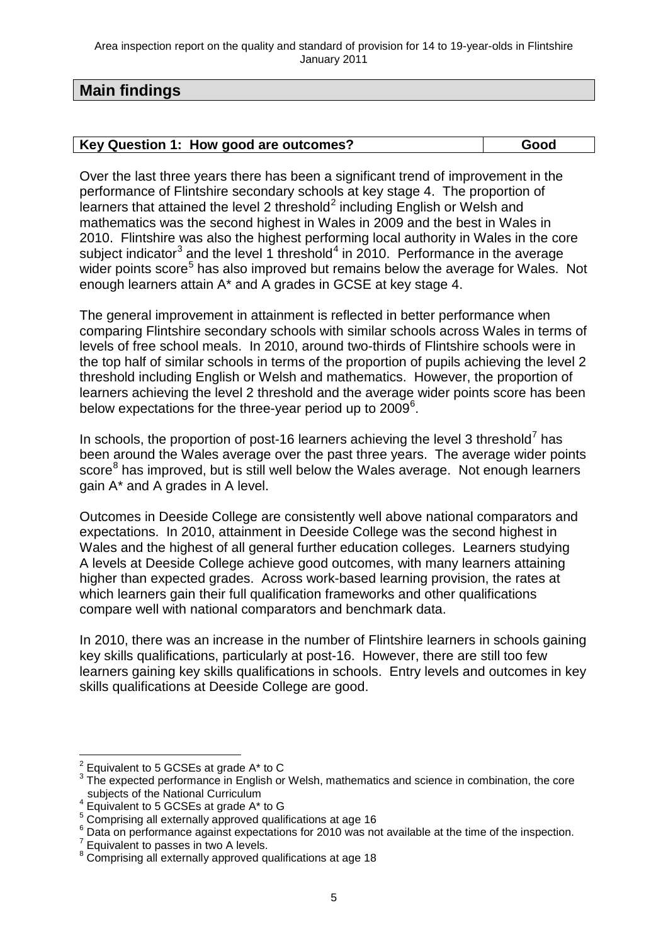#### **Main findings**

Over the last three years there has been a significant trend of improvement in the performance of Flintshire secondary schools at key stage 4. The proportion of learners that attained the level [2](#page-8-0) threshold<sup>2</sup> including English or Welsh and mathematics was the second highest in Wales in 2009 and the best in Wales in 2010. Flintshire was also the highest performing local authority in Wales in the core subject indicator<sup>[3](#page-8-1)</sup> and the level 1 threshold<sup>[4](#page-8-2)</sup> in 2010. Performance in the average wider points score<sup>[5](#page-8-3)</sup> has also improved but remains below the average for Wales. Not enough learners attain A\* and A grades in GCSE at key stage 4.

The general improvement in attainment is reflected in better performance when comparing Flintshire secondary schools with similar schools across Wales in terms of levels of free school meals. In 2010, around two-thirds of Flintshire schools were in the top half of similar schools in terms of the proportion of pupils achieving the level 2 threshold including English or Welsh and mathematics. However, the proportion of learners achieving the level 2 threshold and the average wider points score has been below expectations for the three-year period up to 2009<sup>[6](#page-8-4)</sup>.

In schools, the proportion of post-16 learners achieving the level 3 threshold<sup>[7](#page-8-5)</sup> has been around the Wales average over the past three years. The average wider points score<sup>[8](#page-8-6)</sup> has improved, but is still well below the Wales average. Not enough learners gain A\* and A grades in A level.

Outcomes in Deeside College are consistently well above national comparators and expectations. In 2010, attainment in Deeside College was the second highest in Wales and the highest of all general further education colleges. Learners studying A levels at Deeside College achieve good outcomes, with many learners attaining higher than expected grades. Across work-based learning provision, the rates at which learners gain their full qualification frameworks and other qualifications compare well with national comparators and benchmark data.

In 2010, there was an increase in the number of Flintshire learners in schools gaining key skills qualifications, particularly at post-16. However, there are still too few learners gaining key skills qualifications in schools. Entry levels and outcomes in key skills qualifications at Deeside College are good.

<span id="page-8-1"></span><span id="page-8-0"></span><sup>&</sup>lt;sup>2</sup> Equivalent to 5 GCSEs at grade A\* to C<br><sup>3</sup> The expected performance in English or Welsh, mathematics and science in combination, the core subjects of the National Curriculum

<span id="page-8-2"></span>subjects of the National Curriculum<br>  $\frac{4}{\pi}$  Equivalent to 5 GCSEs at grade A\* to G<br>  $\frac{5}{\pi}$  Comprising all externally approved qualifications at age 16

<span id="page-8-4"></span><span id="page-8-3"></span> $^6$  Data on performance against expectations for 2010 was not available at the time of the inspection.<br><sup>7</sup> Equivalent to passes in two A levels.

<span id="page-8-6"></span><span id="page-8-5"></span> $8$  Comprising all externally approved qualifications at age 18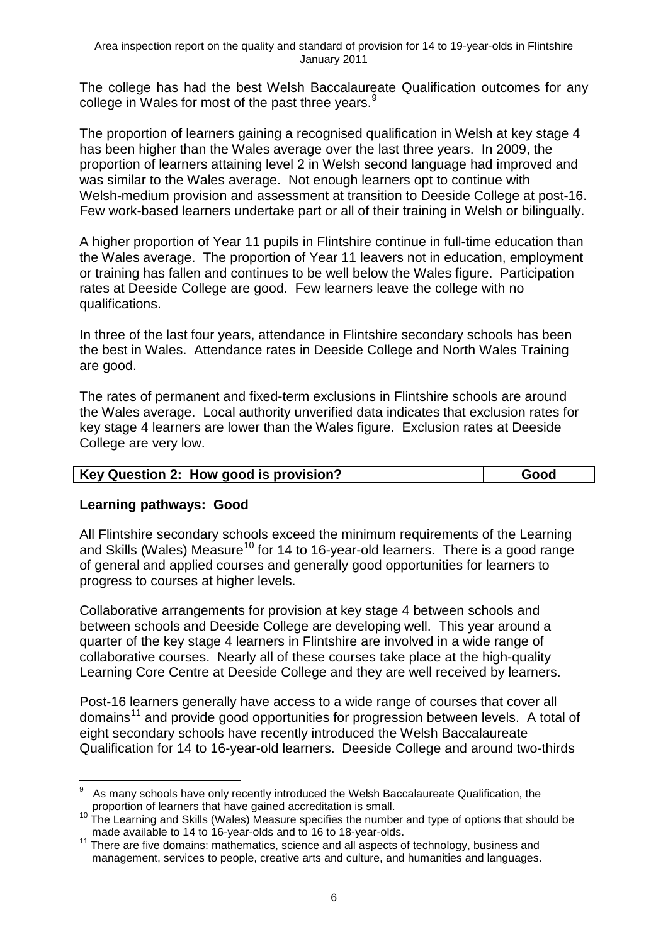The college has had the best Welsh Baccalaureate Qualification outcomes for any college in Wales for most of the past three years. $9$ 

The proportion of learners gaining a recognised qualification in Welsh at key stage 4 has been higher than the Wales average over the last three years. In 2009, the proportion of learners attaining level 2 in Welsh second language had improved and was similar to the Wales average. Not enough learners opt to continue with Welsh-medium provision and assessment at transition to Deeside College at post-16. Few work-based learners undertake part or all of their training in Welsh or bilingually.

A higher proportion of Year 11 pupils in Flintshire continue in full-time education than the Wales average. The proportion of Year 11 leavers not in education, employment or training has fallen and continues to be well below the Wales figure. Participation rates at Deeside College are good. Few learners leave the college with no qualifications.

In three of the last four years, attendance in Flintshire secondary schools has been the best in Wales. Attendance rates in Deeside College and North Wales Training are good.

The rates of permanent and fixed-term exclusions in Flintshire schools are around the Wales average. Local authority unverified data indicates that exclusion rates for key stage 4 learners are lower than the Wales figure. Exclusion rates at Deeside College are very low.

| Key Question 2: How good is provision? | Good |
|----------------------------------------|------|

#### **Learning pathways: Good**

All Flintshire secondary schools exceed the minimum requirements of the Learning and Skills (Wales) Measure<sup>[10](#page-9-1)</sup> for 14 to 16-year-old learners. There is a good range of general and applied courses and generally good opportunities for learners to progress to courses at higher levels.

Collaborative arrangements for provision at key stage 4 between schools and between schools and Deeside College are developing well. This year around a quarter of the key stage 4 learners in Flintshire are involved in a wide range of collaborative courses. Nearly all of these courses take place at the high-quality Learning Core Centre at Deeside College and they are well received by learners.

Post-16 learners generally have access to a wide range of courses that cover all domains<sup>[11](#page-9-2)</sup> and provide good opportunities for progression between levels. A total of eight secondary schools have recently introduced the Welsh Baccalaureate Qualification for 14 to 16-year-old learners. Deeside College and around two-thirds

<span id="page-9-0"></span>As many schools have only recently introduced the Welsh Baccalaureate Qualification, the proportion of learners that have gained accreditation is small.

<span id="page-9-1"></span><sup>10</sup> The Learning and Skills (Wales) Measure specifies the number and type of options that should be made available to 14 to 16-year-olds and to 16 to 18-year-olds.

<span id="page-9-2"></span><sup>11</sup> There are five domains: mathematics, science and all aspects of technology, business and management, services to people, creative arts and culture, and humanities and languages.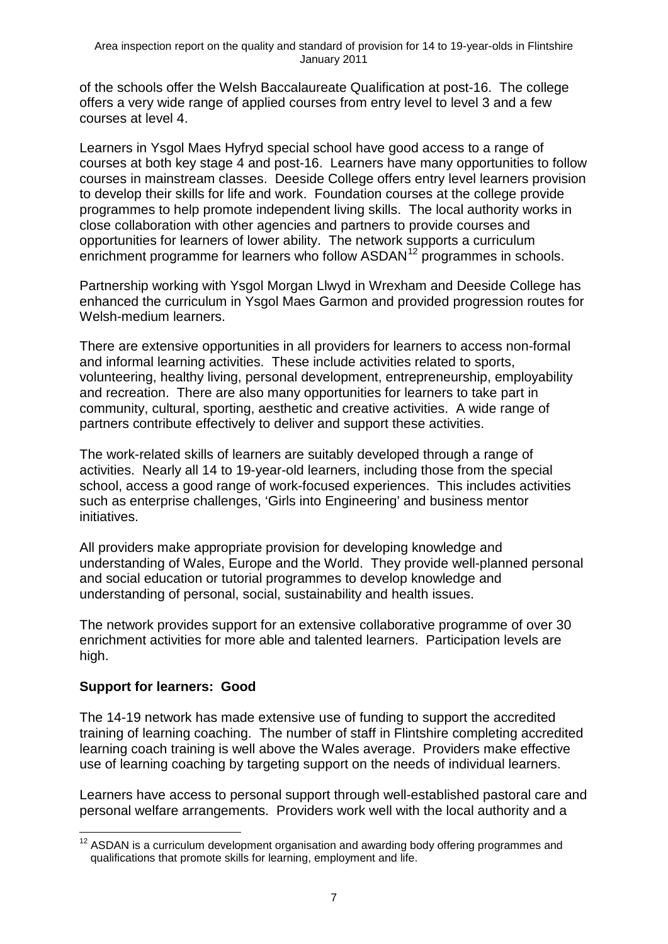of the schools offer the Welsh Baccalaureate Qualification at post-16. The college offers a very wide range of applied courses from entry level to level 3 and a few courses at level 4.

Learners in Ysgol Maes Hyfryd special school have good access to a range of courses at both key stage 4 and post-16. Learners have many opportunities to follow courses in mainstream classes. Deeside College offers entry level learners provision to develop their skills for life and work. Foundation courses at the college provide programmes to help promote independent living skills. The local authority works in close collaboration with other agencies and partners to provide courses and opportunities for learners of lower ability. The network supports a curriculum enrichment programme for learners who follow  $ASDAN<sup>12</sup>$  $ASDAN<sup>12</sup>$  $ASDAN<sup>12</sup>$  programmes in schools.

Partnership working with Ysgol Morgan Llwyd in Wrexham and Deeside College has enhanced the curriculum in Ysgol Maes Garmon and provided progression routes for Welsh-medium learners.

There are extensive opportunities in all providers for learners to access non-formal and informal learning activities. These include activities related to sports, volunteering, healthy living, personal development, entrepreneurship, employability and recreation. There are also many opportunities for learners to take part in community, cultural, sporting, aesthetic and creative activities. A wide range of partners contribute effectively to deliver and support these activities.

The work-related skills of learners are suitably developed through a range of activities. Nearly all 14 to 19-year-old learners, including those from the special school, access a good range of work-focused experiences. This includes activities such as enterprise challenges, 'Girls into Engineering' and business mentor initiatives.

All providers make appropriate provision for developing knowledge and understanding of Wales, Europe and the World. They provide well-planned personal and social education or tutorial programmes to develop knowledge and understanding of personal, social, sustainability and health issues.

The network provides support for an extensive collaborative programme of over 30 enrichment activities for more able and talented learners. Participation levels are high.

#### **Support for learners: Good**

The 14-19 network has made extensive use of funding to support the accredited training of learning coaching. The number of staff in Flintshire completing accredited learning coach training is well above the Wales average. Providers make effective use of learning coaching by targeting support on the needs of individual learners.

Learners have access to personal support through well-established pastoral care and personal welfare arrangements. Providers work well with the local authority and a

<span id="page-10-0"></span> $12$  ASDAN is a curriculum development organisation and awarding body offering programmes and qualifications that promote skills for learning, employment and life.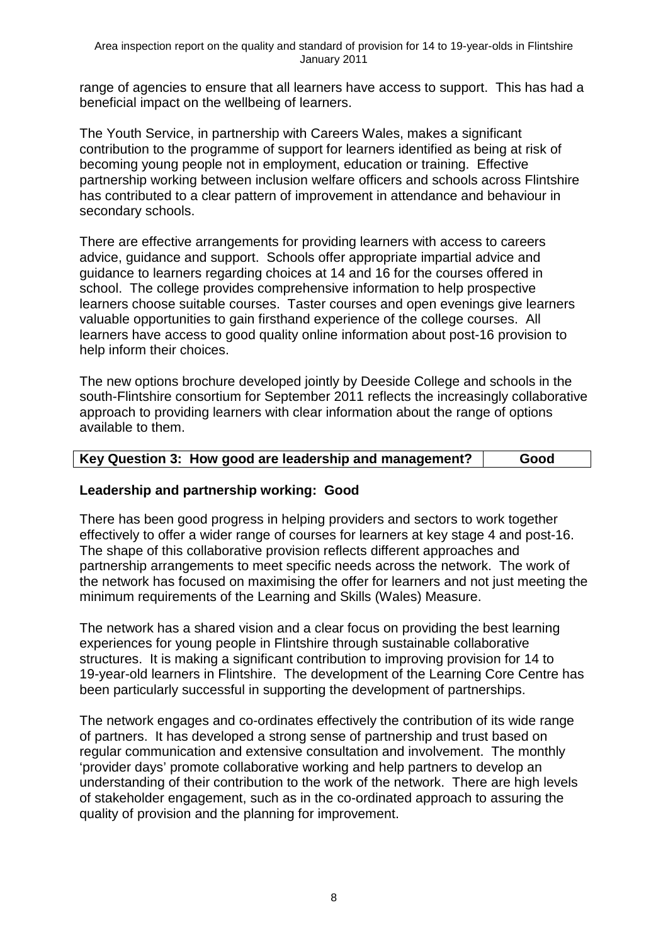range of agencies to ensure that all learners have access to support. This has had a beneficial impact on the wellbeing of learners.

The Youth Service, in partnership with Careers Wales, makes a significant contribution to the programme of support for learners identified as being at risk of becoming young people not in employment, education or training. Effective partnership working between inclusion welfare officers and schools across Flintshire has contributed to a clear pattern of improvement in attendance and behaviour in secondary schools.

There are effective arrangements for providing learners with access to careers advice, guidance and support. Schools offer appropriate impartial advice and guidance to learners regarding choices at 14 and 16 for the courses offered in school. The college provides comprehensive information to help prospective learners choose suitable courses. Taster courses and open evenings give learners valuable opportunities to gain firsthand experience of the college courses. All learners have access to good quality online information about post-16 provision to help inform their choices.

The new options brochure developed jointly by Deeside College and schools in the south-Flintshire consortium for September 2011 reflects the increasingly collaborative approach to providing learners with clear information about the range of options available to them.

| Key Question 3: How good are leadership and management? | Good |  |
|---------------------------------------------------------|------|--|
|---------------------------------------------------------|------|--|

#### **Leadership and partnership working: Good**

There has been good progress in helping providers and sectors to work together effectively to offer a wider range of courses for learners at key stage 4 and post-16. The shape of this collaborative provision reflects different approaches and partnership arrangements to meet specific needs across the network. The work of the network has focused on maximising the offer for learners and not just meeting the minimum requirements of the Learning and Skills (Wales) Measure.

The network has a shared vision and a clear focus on providing the best learning experiences for young people in Flintshire through sustainable collaborative structures. It is making a significant contribution to improving provision for 14 to 19-year-old learners in Flintshire. The development of the Learning Core Centre has been particularly successful in supporting the development of partnerships.

The network engages and co-ordinates effectively the contribution of its wide range of partners. It has developed a strong sense of partnership and trust based on regular communication and extensive consultation and involvement. The monthly 'provider days' promote collaborative working and help partners to develop an understanding of their contribution to the work of the network. There are high levels of stakeholder engagement, such as in the co-ordinated approach to assuring the quality of provision and the planning for improvement.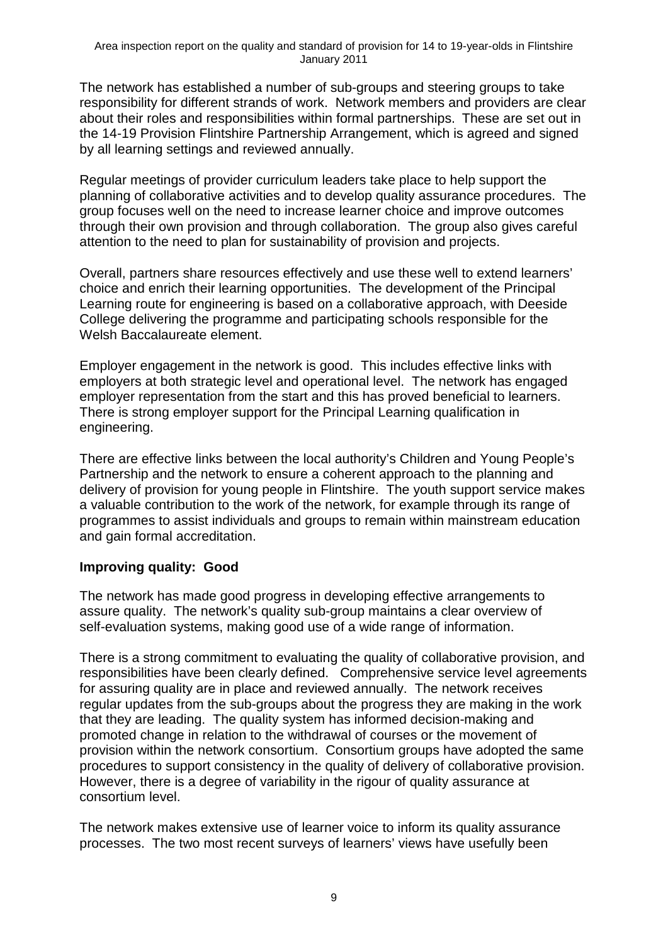The network has established a number of sub-groups and steering groups to take responsibility for different strands of work. Network members and providers are clear about their roles and responsibilities within formal partnerships. These are set out in the 14-19 Provision Flintshire Partnership Arrangement, which is agreed and signed by all learning settings and reviewed annually.

Regular meetings of provider curriculum leaders take place to help support the planning of collaborative activities and to develop quality assurance procedures. The group focuses well on the need to increase learner choice and improve outcomes through their own provision and through collaboration. The group also gives careful attention to the need to plan for sustainability of provision and projects.

Overall, partners share resources effectively and use these well to extend learners' choice and enrich their learning opportunities. The development of the Principal Learning route for engineering is based on a collaborative approach, with Deeside College delivering the programme and participating schools responsible for the Welsh Baccalaureate element.

Employer engagement in the network is good. This includes effective links with employers at both strategic level and operational level. The network has engaged employer representation from the start and this has proved beneficial to learners. There is strong employer support for the Principal Learning qualification in engineering.

There are effective links between the local authority's Children and Young People's Partnership and the network to ensure a coherent approach to the planning and delivery of provision for young people in Flintshire. The youth support service makes a valuable contribution to the work of the network, for example through its range of programmes to assist individuals and groups to remain within mainstream education and gain formal accreditation.

#### **Improving quality: Good**

The network has made good progress in developing effective arrangements to assure quality. The network's quality sub-group maintains a clear overview of self-evaluation systems, making good use of a wide range of information.

There is a strong commitment to evaluating the quality of collaborative provision, and responsibilities have been clearly defined. Comprehensive service level agreements for assuring quality are in place and reviewed annually. The network receives regular updates from the sub-groups about the progress they are making in the work that they are leading. The quality system has informed decision-making and promoted change in relation to the withdrawal of courses or the movement of provision within the network consortium. Consortium groups have adopted the same procedures to support consistency in the quality of delivery of collaborative provision. However, there is a degree of variability in the rigour of quality assurance at consortium level.

The network makes extensive use of learner voice to inform its quality assurance processes. The two most recent surveys of learners' views have usefully been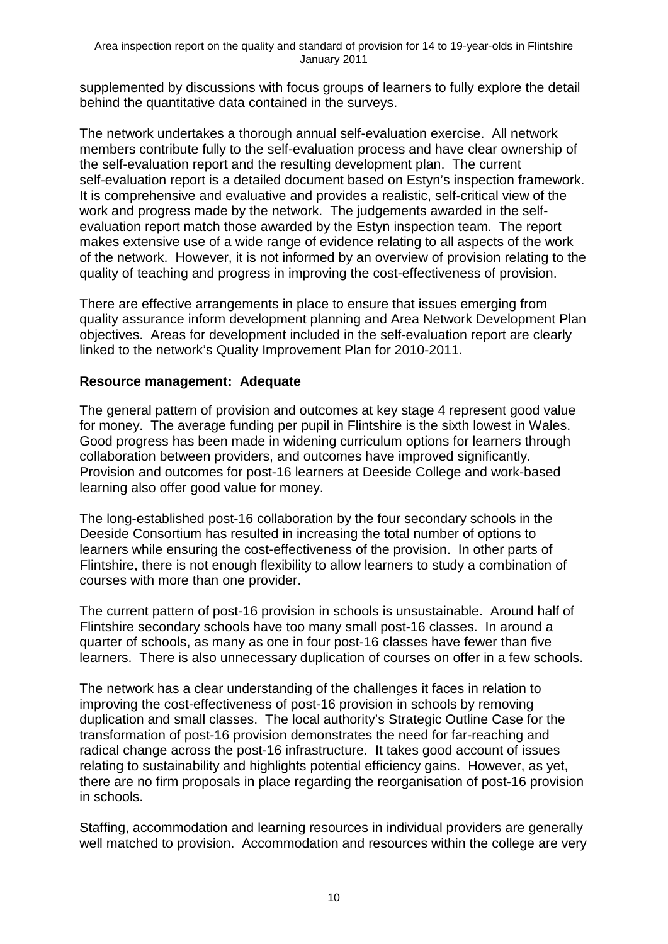supplemented by discussions with focus groups of learners to fully explore the detail behind the quantitative data contained in the surveys.

The network undertakes a thorough annual self-evaluation exercise. All network members contribute fully to the self-evaluation process and have clear ownership of the self-evaluation report and the resulting development plan. The current self-evaluation report is a detailed document based on Estyn's inspection framework. It is comprehensive and evaluative and provides a realistic, self-critical view of the work and progress made by the network. The judgements awarded in the selfevaluation report match those awarded by the Estyn inspection team. The report makes extensive use of a wide range of evidence relating to all aspects of the work of the network. However, it is not informed by an overview of provision relating to the quality of teaching and progress in improving the cost-effectiveness of provision.

There are effective arrangements in place to ensure that issues emerging from quality assurance inform development planning and Area Network Development Plan objectives. Areas for development included in the self-evaluation report are clearly linked to the network's Quality Improvement Plan for 2010-2011.

#### **Resource management: Adequate**

The general pattern of provision and outcomes at key stage 4 represent good value for money. The average funding per pupil in Flintshire is the sixth lowest in Wales. Good progress has been made in widening curriculum options for learners through collaboration between providers, and outcomes have improved significantly. Provision and outcomes for post-16 learners at Deeside College and work-based learning also offer good value for money.

The long-established post-16 collaboration by the four secondary schools in the Deeside Consortium has resulted in increasing the total number of options to learners while ensuring the cost-effectiveness of the provision. In other parts of Flintshire, there is not enough flexibility to allow learners to study a combination of courses with more than one provider.

The current pattern of post-16 provision in schools is unsustainable. Around half of Flintshire secondary schools have too many small post-16 classes. In around a quarter of schools, as many as one in four post-16 classes have fewer than five learners. There is also unnecessary duplication of courses on offer in a few schools.

The network has a clear understanding of the challenges it faces in relation to improving the cost-effectiveness of post-16 provision in schools by removing duplication and small classes. The local authority's Strategic Outline Case for the transformation of post-16 provision demonstrates the need for far-reaching and radical change across the post-16 infrastructure. It takes good account of issues relating to sustainability and highlights potential efficiency gains. However, as yet, there are no firm proposals in place regarding the reorganisation of post-16 provision in schools.

Staffing, accommodation and learning resources in individual providers are generally well matched to provision. Accommodation and resources within the college are very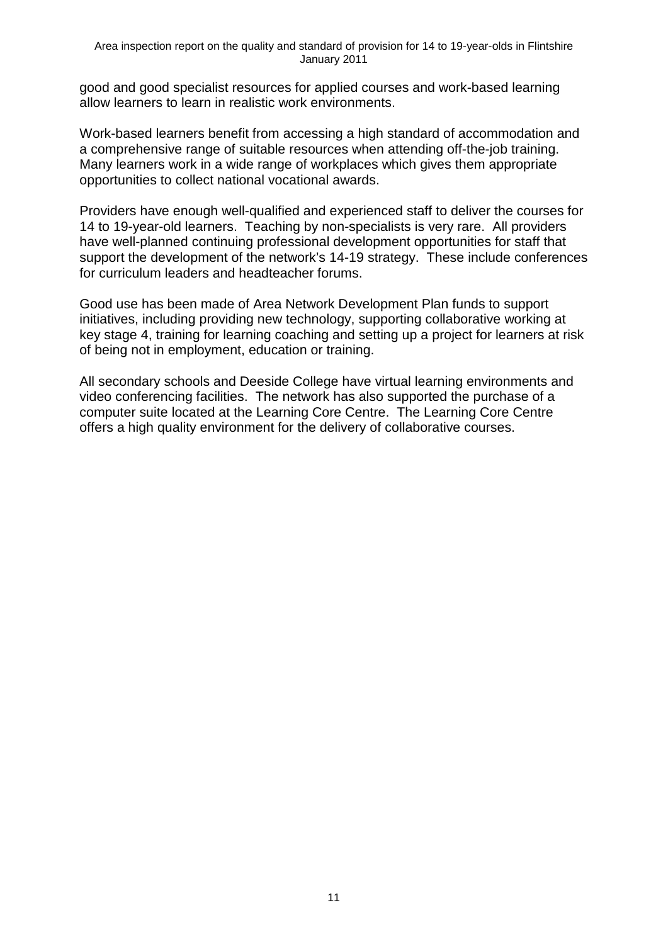good and good specialist resources for applied courses and work-based learning allow learners to learn in realistic work environments.

Work-based learners benefit from accessing a high standard of accommodation and a comprehensive range of suitable resources when attending off-the-job training. Many learners work in a wide range of workplaces which gives them appropriate opportunities to collect national vocational awards.

Providers have enough well-qualified and experienced staff to deliver the courses for 14 to 19-year-old learners. Teaching by non-specialists is very rare. All providers have well-planned continuing professional development opportunities for staff that support the development of the network's 14-19 strategy. These include conferences for curriculum leaders and headteacher forums.

Good use has been made of Area Network Development Plan funds to support initiatives, including providing new technology, supporting collaborative working at key stage 4, training for learning coaching and setting up a project for learners at risk of being not in employment, education or training.

All secondary schools and Deeside College have virtual learning environments and video conferencing facilities. The network has also supported the purchase of a computer suite located at the Learning Core Centre. The Learning Core Centre offers a high quality environment for the delivery of collaborative courses.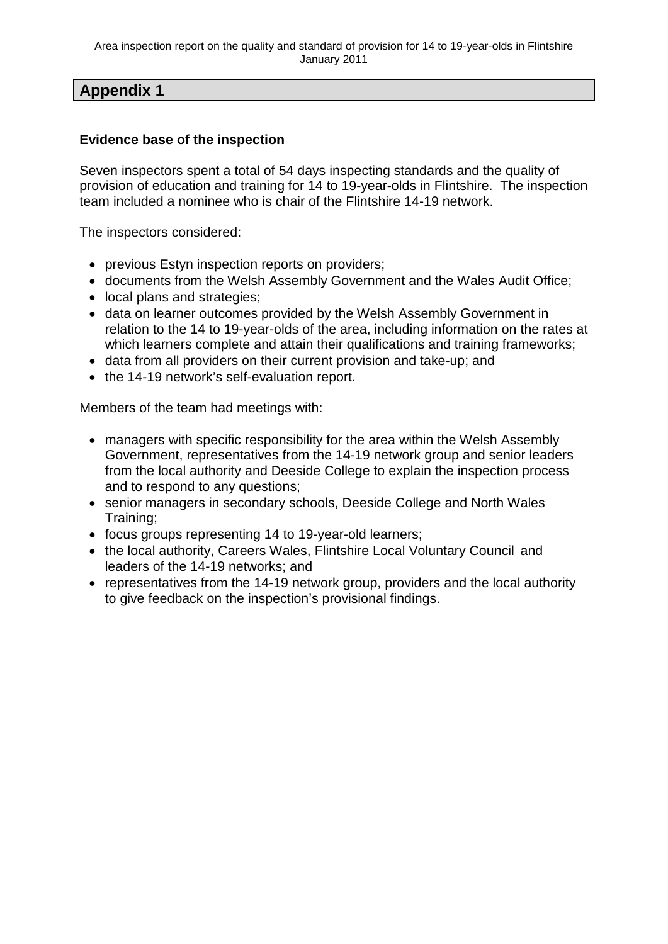### **Appendix 1**

#### **Evidence base of the inspection**

Seven inspectors spent a total of 54 days inspecting standards and the quality of provision of education and training for 14 to 19-year-olds in Flintshire. The inspection team included a nominee who is chair of the Flintshire 14-19 network.

The inspectors considered:

- previous Estyn inspection reports on providers;
- documents from the Welsh Assembly Government and the Wales Audit Office;
- local plans and strategies;
- data on learner outcomes provided by the Welsh Assembly Government in relation to the 14 to 19-year-olds of the area, including information on the rates at which learners complete and attain their qualifications and training frameworks;
- data from all providers on their current provision and take-up; and
- the 14-19 network's self-evaluation report.

Members of the team had meetings with:

- managers with specific responsibility for the area within the Welsh Assembly Government, representatives from the 14-19 network group and senior leaders from the local authority and Deeside College to explain the inspection process and to respond to any questions;
- senior managers in secondary schools, Deeside College and North Wales Training;
- focus groups representing 14 to 19-year-old learners;
- the local authority, Careers Wales, Flintshire Local Voluntary Council and leaders of the 14-19 networks; and
- representatives from the 14-19 network group, providers and the local authority to give feedback on the inspection's provisional findings.